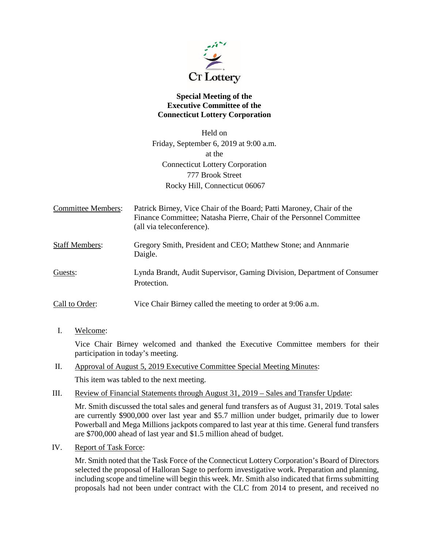

## **Special Meeting of the Executive Committee of the Connecticut Lottery Corporation**

Held on Friday, September 6, 2019 at 9:00 a.m. at the Connecticut Lottery Corporation 777 Brook Street Rocky Hill, Connecticut 06067

Committee Members: Patrick Birney, Vice Chair of the Board; Patti Maroney, Chair of the Finance Committee; Natasha Pierre, Chair of the Personnel Committee (all via teleconference).

Staff Members: Gregory Smith, President and CEO; Matthew Stone; and Annmarie Daigle.

Guests: Lynda Brandt, Audit Supervisor, Gaming Division, Department of Consumer **Protection** 

Call to Order: Vice Chair Birney called the meeting to order at 9:06 a.m.

I. Welcome:

Vice Chair Birney welcomed and thanked the Executive Committee members for their participation in today's meeting.

II. Approval of August 5, 2019 Executive Committee Special Meeting Minutes:

This item was tabled to the next meeting.

III. Review of Financial Statements through August 31, 2019 – Sales and Transfer Update:

Mr. Smith discussed the total sales and general fund transfers as of August 31, 2019. Total sales are currently \$900,000 over last year and \$5.7 million under budget, primarily due to lower Powerball and Mega Millions jackpots compared to last year at this time. General fund transfers are \$700,000 ahead of last year and \$1.5 million ahead of budget.

IV. Report of Task Force:

Mr. Smith noted that the Task Force of the Connecticut Lottery Corporation's Board of Directors selected the proposal of Halloran Sage to perform investigative work. Preparation and planning, including scope and timeline will begin this week. Mr. Smith also indicated that firms submitting proposals had not been under contract with the CLC from 2014 to present, and received no